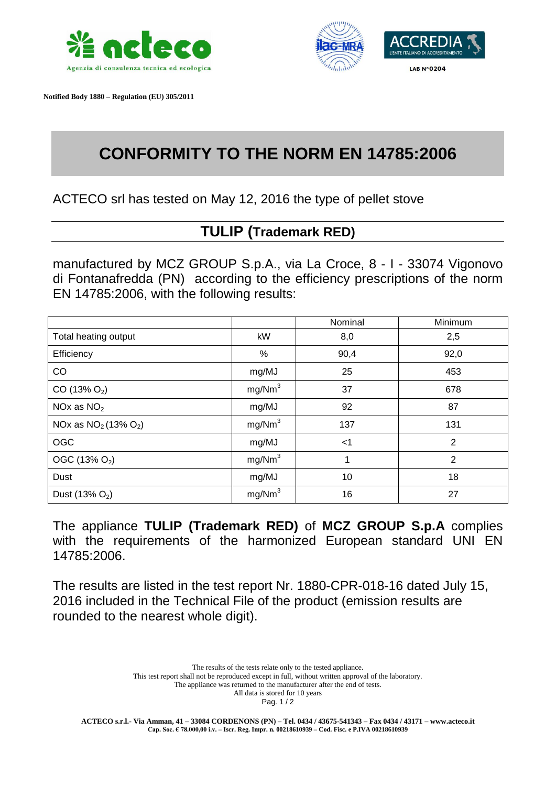

 **Notified Body 1880 – Regulation (EU) 305/2011**



## **CONFORMITY TO THE NORM EN 14785:2006**

ACTECO srl has tested on May 12, 2016 the type of pellet stove

## **TULIP (Trademark RED)**

manufactured by MCZ GROUP S.p.A., via La Croce, 8 - I - 33074 Vigonovo di Fontanafredda (PN) according to the efficiency prescriptions of the norm EN 14785:2006, with the following results:

|                            |                    | Nominal | Minimum        |
|----------------------------|--------------------|---------|----------------|
| Total heating output       | kW                 | 8,0     | 2,5            |
| Efficiency                 | %                  | 90,4    | 92,0           |
| CO                         | mg/MJ              | 25      | 453            |
| $CO(13\% O_2)$             | mg/Nm <sup>3</sup> | 37      | 678            |
| NOx as $NO2$               | mg/MJ              | 92      | 87             |
| NOx as $NO_2$ (13% $O_2$ ) | mg/Nm <sup>3</sup> | 137     | 131            |
| OGC                        | mg/MJ              | $<$ 1   | $\overline{2}$ |
| OGC (13% O <sub>2</sub> )  | mg/Nm <sup>3</sup> | 1       | 2              |
| Dust                       | mg/MJ              | 10      | 18             |
| Dust $(13% O2)$            | mg/Nm <sup>3</sup> | 16      | 27             |

The appliance **TULIP (Trademark RED)** of **MCZ GROUP S.p.A** complies with the requirements of the harmonized European standard UNI EN 14785:2006.

The results are listed in the test report Nr. 1880-CPR-018-16 dated July 15, 2016 included in the Technical File of the product (emission results are rounded to the nearest whole digit).

> The results of the tests relate only to the tested appliance. This test report shall not be reproduced except in full, without written approval of the laboratory. The appliance was returned to the manufacturer after the end of tests. All data is stored for 10 years

Pag. 1 / 2

**ACTECO s.r.l.- Via Amman, 41 – 33084 CORDENONS (PN) – Tel. 0434 / 43675-541343 – Fax 0434 / 43171 – www.acteco.it Cap. Soc. € 78.000,00 i.v. – Iscr. Reg. Impr. n. 00218610939 – Cod. Fisc. e P.IVA 00218610939**